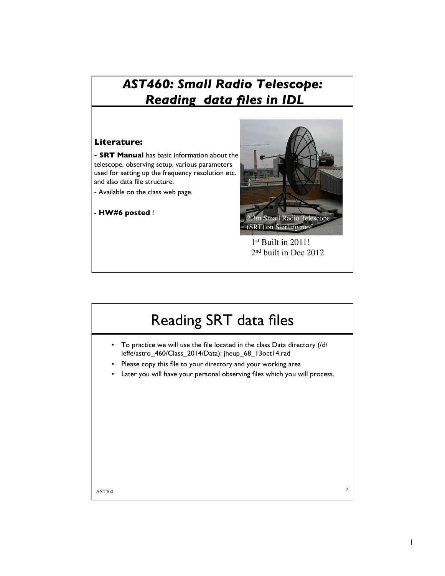### *AST460: Small Radio Telescope: Reading data files in IDL*

#### **Literature:**

- **SRT Manual** has basic information about the telescope, observing setup, various parameters used for setting up the frequency resolution etc. and also data file structure.

- Available on the class web page.

- **HW#6 posted** !



1st Built in 2011! 2nd built in Dec 2012

# Reading SRT data files

- To practice we will use the file located in the class Data directory (/d/ leffe/astro\_460/Class\_2014/Data): jheup\_68\_13oct14.rad
- Please copy this file to your directory and your working area
- Later you will have your personal observing files which you will process.

 $\lambda$ ST460 2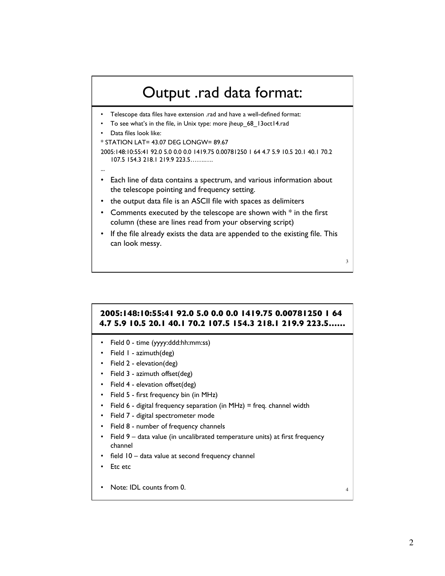## Output .rad data format:

- Telescope data files have extension .rad and have a well-defined format:
- To see what's in the file, in Unix type: more jheup 68 13oct14.rad
- Data files look like:

...

\* STATION LAT= 43.07 DEG LONGW= 89.67

```
2005:148:10:55:41 92.0 5.0 0.0 0.0 1419.75 0.00781250 1 64 4.7 5.9 10.5 20.1 40.1 70.2 
107.5 154.3 218.1 219.9 223.5…….….
```
- Each line of data contains a spectrum, and various information about the telescope pointing and frequency setting.
- the output data file is an ASCII file with spaces as delimiters
- Comments executed by the telescope are shown with  $*$  in the first column (these are lines read from your observing script)
- If the file already exists the data are appended to the existing file. This can look messy.

#### **2005:148:10:55:41 92.0 5.0 0.0 0.0 1419.75 0.00781250 1 64 4.7 5.9 10.5 20.1 40.1 70.2 107.5 154.3 218.1 219.9 223.5……**

- Field 0 time (yyyy:ddd:hh:mm:ss)
- Field 1 azimuth(deg)
- Field 2 elevation(deg)
- Field 3 azimuth offset(deg)
- Field 4 elevation offset(deg)
- Field 5 first frequency bin (in MHz)
- Field 6 digital frequency separation (in MHz) = freq. channel width
- Field 7 digital spectrometer mode
- Field 8 number of frequency channels
- Field 9 data value (in uncalibrated temperature units) at first frequency channel
- field 10 data value at second frequency channel
- Etc etc
- Note: IDL counts from 0. 4

3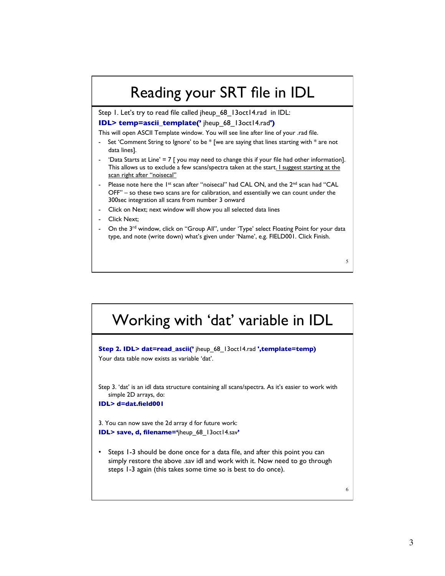## Reading your SRT file in IDL

Step 1. Let's try to read file called jheup 68 13oct14.rad in IDL: **IDL> temp=ascii\_template('** jheup\_68\_13oct14.rad**')**

This will open ASCII Template window. You will see line after line of your .rad file.

- Set 'Comment String to Ignore' to be  $*$  [we are saying that lines starting with  $*$  are not data lines].
- 'Data Starts at Line' =  $7 \mid$  you may need to change this if your file had other information]. This allows us to exclude a few scans/spectra taken at the start. I suggest starting at the scan right after "noisecal"
- Please note here the 1<sup>st</sup> scan after "noisecal" had CAL ON, and the 2<sup>nd</sup> scan had "CAL OFF" – so these two scans are for calibration, and essentially we can count under the 300sec integration all scans from number 3 onward
- Click on Next; next window will show you all selected data lines
- Click Next:
- On the 3<sup>rd</sup> window, click on "Group All", under 'Type' select Floating Point for your data type, and note (write down) what's given under 'Name', e.g. FIELD001. Click Finish.



5

6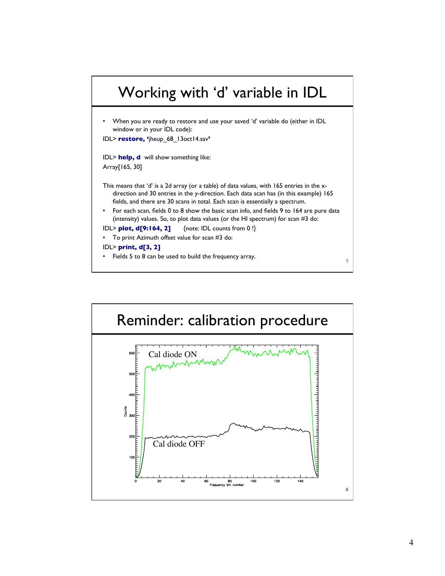